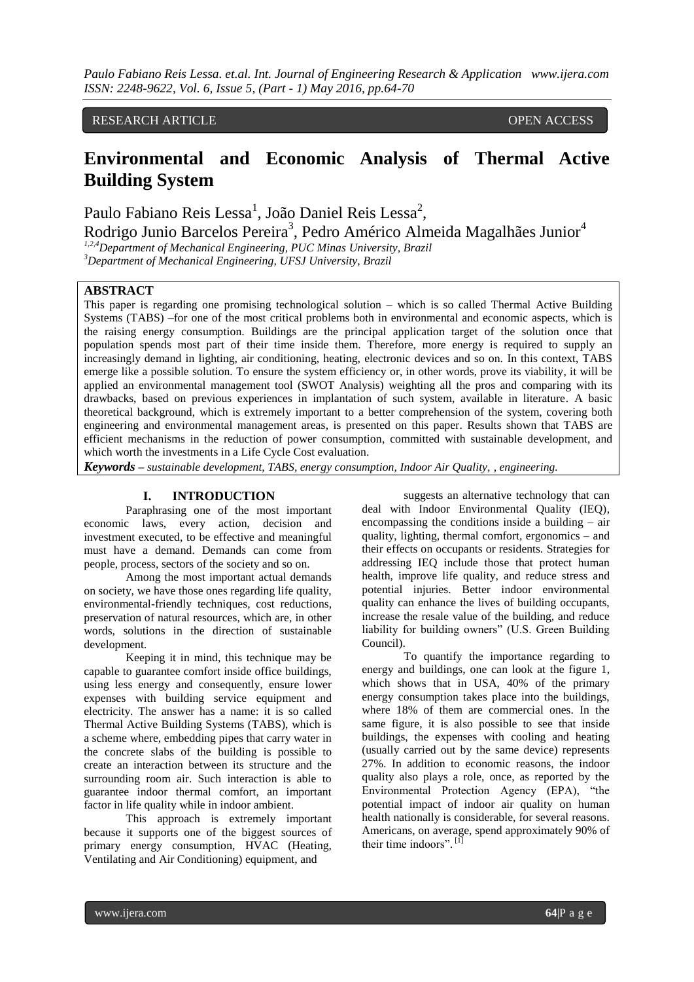# RESEARCH ARTICLE **CONSERVERS** OPEN ACCESS

# **Environmental and Economic Analysis of Thermal Active Building System**

Paulo Fabiano Reis Lessa<sup>1</sup>, João Daniel Reis Lessa<sup>2</sup>,

Rodrigo Junio Barcelos Pereira<sup>3</sup>, Pedro Américo Almeida Magalhães Junior<sup>4</sup>

*1,2,4Department of Mechanical Engineering, PUC Minas University, Brazil*

*<sup>3</sup>Department of Mechanical Engineering, UFSJ University, Brazil*

#### **ABSTRACT**

This paper is regarding one promising technological solution – which is so called Thermal Active Building Systems (TABS) –for one of the most critical problems both in environmental and economic aspects, which is the raising energy consumption. Buildings are the principal application target of the solution once that population spends most part of their time inside them. Therefore, more energy is required to supply an increasingly demand in lighting, air conditioning, heating, electronic devices and so on. In this context, TABS emerge like a possible solution. To ensure the system efficiency or, in other words, prove its viability, it will be applied an environmental management tool (SWOT Analysis) weighting all the pros and comparing with its drawbacks, based on previous experiences in implantation of such system, available in literature. A basic theoretical background, which is extremely important to a better comprehension of the system, covering both engineering and environmental management areas, is presented on this paper. Results shown that TABS are efficient mechanisms in the reduction of power consumption, committed with sustainable development, and which worth the investments in a Life Cycle Cost evaluation.

*Keywords* **–** *sustainable development, TABS, energy consumption, Indoor Air Quality, , engineering.*

## **I. INTRODUCTION**

Paraphrasing one of the most important economic laws, every action, decision and investment executed, to be effective and meaningful must have a demand. Demands can come from people, process, sectors of the society and so on.

Among the most important actual demands on society, we have those ones regarding life quality, environmental-friendly techniques, cost reductions, preservation of natural resources, which are, in other words, solutions in the direction of sustainable development.

Keeping it in mind, this technique may be capable to guarantee comfort inside office buildings, using less energy and consequently, ensure lower expenses with building service equipment and electricity. The answer has a name: it is so called Thermal Active Building Systems (TABS), which is a scheme where, embedding pipes that carry water in the concrete slabs of the building is possible to create an interaction between its structure and the surrounding room air. Such interaction is able to guarantee indoor thermal comfort, an important factor in life quality while in indoor ambient.

This approach is extremely important because it supports one of the biggest sources of primary energy consumption, HVAC (Heating, Ventilating and Air Conditioning) equipment, and

suggests an alternative technology that can deal with Indoor Environmental Quality (IEQ), encompassing the conditions inside a building – air quality, lighting, thermal comfort, ergonomics – and their effects on occupants or residents. Strategies for addressing IEQ include those that protect human health, improve life quality, and reduce stress and potential injuries. Better indoor environmental quality can enhance the lives of building occupants, increase the resale value of the building, and reduce liability for building owners" (U.S. Green Building Council).

To quantify the importance regarding to energy and buildings, one can look at the figure 1, which shows that in USA, 40% of the primary energy consumption takes place into the buildings, where 18% of them are commercial ones. In the same figure, it is also possible to see that inside buildings, the expenses with cooling and heating (usually carried out by the same device) represents 27%. In addition to economic reasons, the indoor quality also plays a role, once, as reported by the Environmental Protection Agency (EPA), "the potential impact of indoor air quality on human health nationally is considerable, for several reasons. Americans, on average, spend approximately 90% of their time indoors".<sup>[1]</sup>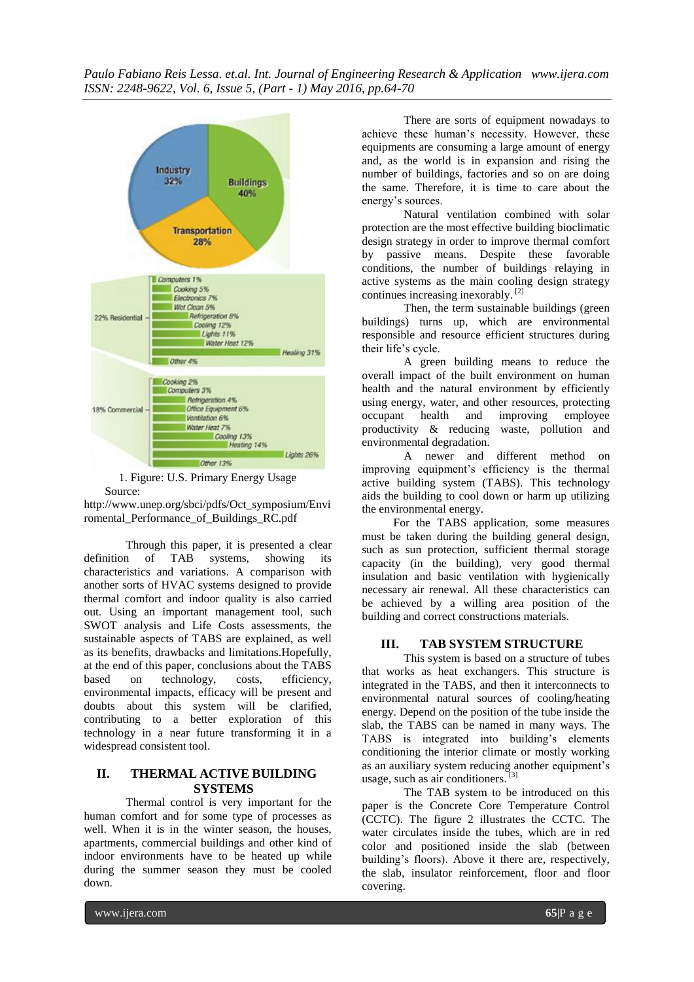

1. Figure: U.S. Primary Energy Usage Source:

http://www.unep.org/sbci/pdfs/Oct\_symposium/Envi romental\_Performance\_of\_Buildings\_RC.pdf

Through this paper, it is presented a clear definition of TAB systems, showing its characteristics and variations. A comparison with another sorts of HVAC systems designed to provide thermal comfort and indoor quality is also carried out. Using an important management tool, such SWOT analysis and Life Costs assessments, the sustainable aspects of TABS are explained, as well as its benefits, drawbacks and limitations.Hopefully, at the end of this paper, conclusions about the TABS based on technology, costs, efficiency, environmental impacts, efficacy will be present and doubts about this system will be clarified, contributing to a better exploration of this technology in a near future transforming it in a widespread consistent tool.

# **II. THERMAL ACTIVE BUILDING SYSTEMS**

Thermal control is very important for the human comfort and for some type of processes as well. When it is in the winter season, the houses, apartments, commercial buildings and other kind of indoor environments have to be heated up while during the summer season they must be cooled down.

There are sorts of equipment nowadays to achieve these human's necessity. However, these equipments are consuming a large amount of energy and, as the world is in expansion and rising the number of buildings, factories and so on are doing the same. Therefore, it is time to care about the energy's sources.

Natural ventilation combined with solar protection are the most effective building bioclimatic design strategy in order to improve thermal comfort by passive means. Despite these favorable conditions, the number of buildings relaying in active systems as the main cooling design strategy continues increasing inexorably. [2]

Then, the term sustainable buildings (green buildings) turns up, which are environmental responsible and resource efficient structures during their life's cycle.

A green building means to reduce the overall impact of the built environment on human health and the natural environment by efficiently using energy, water, and other resources, protecting occupant health and improving employee productivity & reducing waste, pollution and environmental degradation.

A newer and different method on improving equipment's efficiency is the thermal active building system (TABS). This technology aids the building to cool down or harm up utilizing the environmental energy.

For the TABS application, some measures must be taken during the building general design, such as sun protection, sufficient thermal storage capacity (in the building), very good thermal insulation and basic ventilation with hygienically necessary air renewal. All these characteristics can be achieved by a willing area position of the building and correct constructions materials.

# **III. TAB SYSTEM STRUCTURE**

This system is based on a structure of tubes that works as heat exchangers. This structure is integrated in the TABS, and then it interconnects to environmental natural sources of cooling/heating energy. Depend on the position of the tube inside the slab, the TABS can be named in many ways. The TABS is integrated into building's elements conditioning the interior climate or mostly working as an auxiliary system reducing another equipment's usage, such as air conditioners.<sup>[3]</sup>

The TAB system to be introduced on this paper is the Concrete Core Temperature Control (CCTC). The figure 2 illustrates the CCTC. The water circulates inside the tubes, which are in red color and positioned inside the slab (between building's floors). Above it there are, respectively, the slab, insulator reinforcement, floor and floor covering.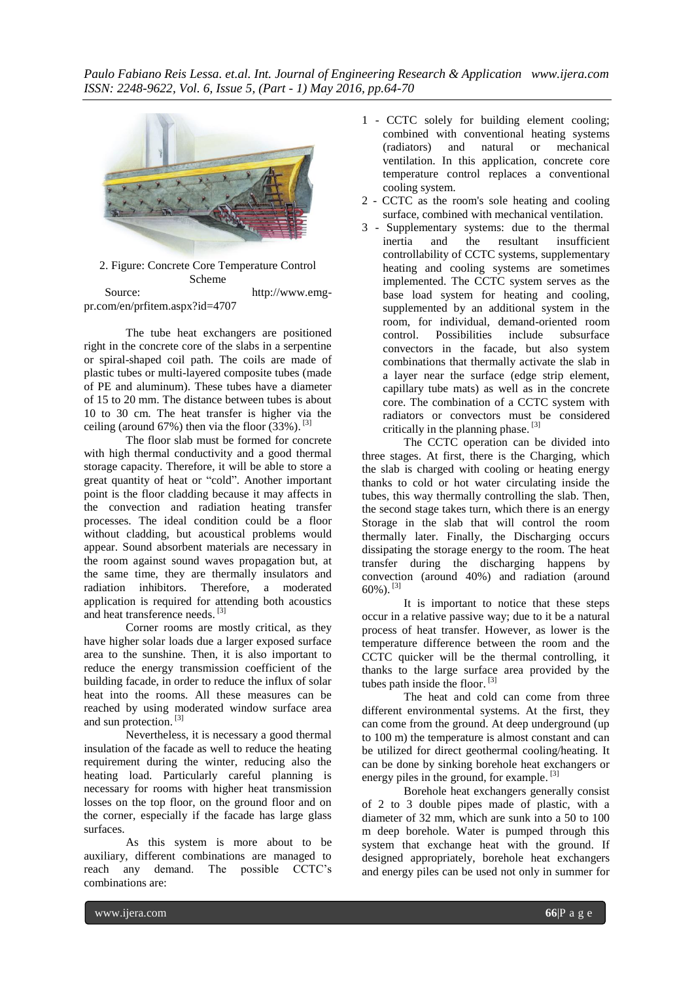*Paulo Fabiano Reis Lessa. et.al. Int. Journal of Engineering Research & Application www.ijera.com ISSN: 2248-9622, Vol. 6, Issue 5, (Part - 1) May 2016, pp.64-70*



2. Figure: Concrete Core Temperature Control Scheme Source: http://www.emgpr.com/en/prfitem.aspx?id=4707

The tube heat exchangers are positioned right in the concrete core of the slabs in a serpentine or spiral-shaped coil path. The coils are made of plastic tubes or multi-layered composite tubes (made of PE and aluminum). These tubes have a diameter of 15 to 20 mm. The distance between tubes is about 10 to 30 cm. The heat transfer is higher via the ceiling (around 67%) then via the floor  $(33\%)$ . <sup>[3]</sup>

The floor slab must be formed for concrete with high thermal conductivity and a good thermal storage capacity. Therefore, it will be able to store a great quantity of heat or "cold". Another important point is the floor cladding because it may affects in the convection and radiation heating transfer processes. The ideal condition could be a floor without cladding, but acoustical problems would appear. Sound absorbent materials are necessary in the room against sound waves propagation but, at the same time, they are thermally insulators and radiation inhibitors. Therefore, a moderated application is required for attending both acoustics and heat transference needs.<sup>[3]</sup>

Corner rooms are mostly critical, as they have higher solar loads due a larger exposed surface area to the sunshine. Then, it is also important to reduce the energy transmission coefficient of the building facade, in order to reduce the influx of solar heat into the rooms. All these measures can be reached by using moderated window surface area and sun protection. [3]

Nevertheless, it is necessary a good thermal insulation of the facade as well to reduce the heating requirement during the winter, reducing also the heating load. Particularly careful planning is necessary for rooms with higher heat transmission losses on the top floor, on the ground floor and on the corner, especially if the facade has large glass surfaces.

As this system is more about to be auxiliary, different combinations are managed to reach any demand. The possible CCTC's combinations are:

- 1 CCTC solely for building element cooling; combined with conventional heating systems<br>(radiators) and natural or mechanical (radiators) and natural or ventilation. In this application, concrete core temperature control replaces a conventional cooling system.
- 2 CCTC as the room's sole heating and cooling surface, combined with mechanical ventilation.
- 3 Supplementary systems: due to the thermal inertia and the resultant insufficient controllability of CCTC systems, supplementary heating and cooling systems are sometimes implemented. The CCTC system serves as the base load system for heating and cooling, supplemented by an additional system in the room, for individual, demand-oriented room control. Possibilities include subsurface convectors in the facade, but also system combinations that thermally activate the slab in a layer near the surface (edge strip element, capillary tube mats) as well as in the concrete core. The combination of a CCTC system with radiators or convectors must be considered critically in the planning phase.<sup>[3]</sup>

The CCTC operation can be divided into three stages. At first, there is the Charging, which the slab is charged with cooling or heating energy thanks to cold or hot water circulating inside the tubes, this way thermally controlling the slab. Then, the second stage takes turn, which there is an energy Storage in the slab that will control the room thermally later. Finally, the Discharging occurs dissipating the storage energy to the room. The heat transfer during the discharging happens by convection (around 40%) and radiation (around 60%). [3]

It is important to notice that these steps occur in a relative passive way; due to it be a natural process of heat transfer. However, as lower is the temperature difference between the room and the CCTC quicker will be the thermal controlling, it thanks to the large surface area provided by the tubes path inside the floor.<sup>[3]</sup>

The heat and cold can come from three different environmental systems. At the first, they can come from the ground. At deep underground (up to 100 m) the temperature is almost constant and can be utilized for direct geothermal cooling/heating. It can be done by sinking borehole heat exchangers or energy piles in the ground, for example.<sup>[3]</sup>

Borehole heat exchangers generally consist of 2 to 3 double pipes made of plastic, with a diameter of 32 mm, which are sunk into a 50 to 100 m deep borehole. Water is pumped through this system that exchange heat with the ground. If designed appropriately, borehole heat exchangers and energy piles can be used not only in summer for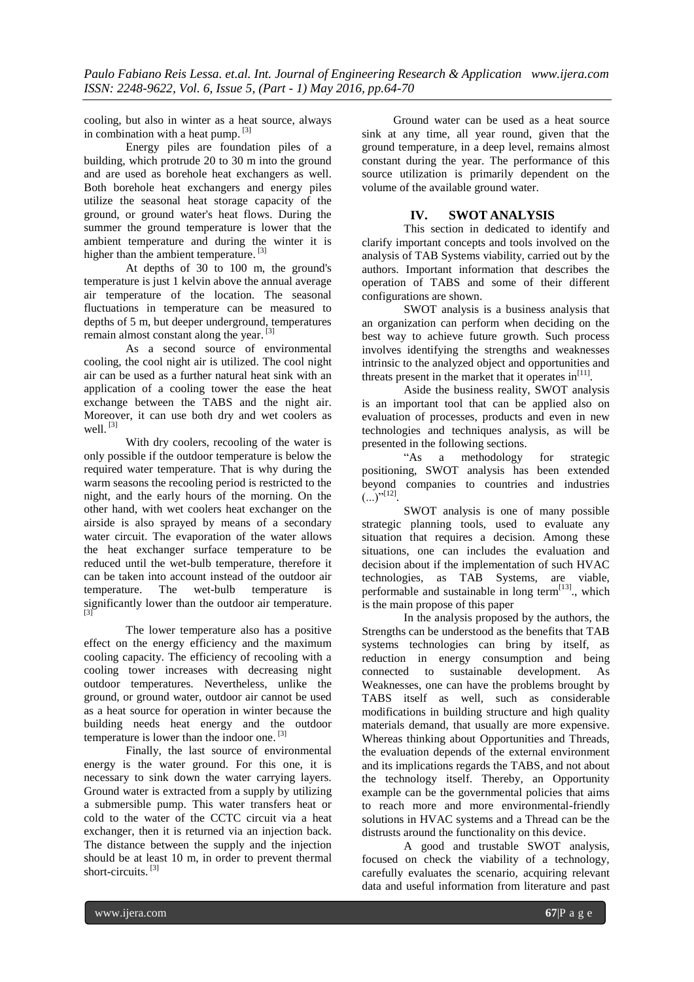cooling, but also in winter as a heat source, always in combination with a heat pump. [3]

Energy piles are foundation piles of a building, which protrude 20 to 30 m into the ground and are used as borehole heat exchangers as well. Both borehole heat exchangers and energy piles utilize the seasonal heat storage capacity of the ground, or ground water's heat flows. During the summer the ground temperature is lower that the ambient temperature and during the winter it is higher than the ambient temperature.<sup>[3]</sup>

At depths of 30 to 100 m, the ground's temperature is just 1 kelvin above the annual average air temperature of the location. The seasonal fluctuations in temperature can be measured to depths of 5 m, but deeper underground, temperatures remain almost constant along the year.<sup>[3]</sup>

As a second source of environmental cooling, the cool night air is utilized. The cool night air can be used as a further natural heat sink with an application of a cooling tower the ease the heat exchange between the TABS and the night air. Moreover, it can use both dry and wet coolers as well.<sup>[3]</sup>

With dry coolers, recooling of the water is only possible if the outdoor temperature is below the required water temperature. That is why during the warm seasons the recooling period is restricted to the night, and the early hours of the morning. On the other hand, with wet coolers heat exchanger on the airside is also sprayed by means of a secondary water circuit. The evaporation of the water allows the heat exchanger surface temperature to be reduced until the wet-bulb temperature, therefore it can be taken into account instead of the outdoor air temperature. The wet-bulb temperature is significantly lower than the outdoor air temperature. [3]

The lower temperature also has a positive effect on the energy efficiency and the maximum cooling capacity. The efficiency of recooling with a cooling tower increases with decreasing night outdoor temperatures. Nevertheless, unlike the ground, or ground water, outdoor air cannot be used as a heat source for operation in winter because the building needs heat energy and the outdoor temperature is lower than the indoor one. [3]

Finally, the last source of environmental energy is the water ground. For this one, it is necessary to sink down the water carrying layers. Ground water is extracted from a supply by utilizing a submersible pump. This water transfers heat or cold to the water of the CCTC circuit via a heat exchanger, then it is returned via an injection back. The distance between the supply and the injection should be at least 10 m, in order to prevent thermal short-circuits.<sup>[3]</sup>

Ground water can be used as a heat source sink at any time, all year round, given that the ground temperature, in a deep level, remains almost constant during the year. The performance of this source utilization is primarily dependent on the volume of the available ground water.

# **IV. SWOT ANALYSIS**

This section in dedicated to identify and clarify important concepts and tools involved on the analysis of TAB Systems viability, carried out by the authors. Important information that describes the operation of TABS and some of their different configurations are shown.

SWOT analysis is a business analysis that an organization can perform when deciding on the best way to achieve future growth. Such process involves identifying the strengths and weaknesses intrinsic to the analyzed object and opportunities and threats present in the market that it operates in $[11]$ .

Aside the business reality, SWOT analysis is an important tool that can be applied also on evaluation of processes, products and even in new technologies and techniques analysis, as will be presented in the following sections.

"As a methodology for strategic positioning, SWOT analysis has been extended beyond companies to countries and industries  $(\ldots)^{n[12]}$ .

SWOT analysis is one of many possible strategic planning tools, used to evaluate any situation that requires a decision. Among these situations, one can includes the evaluation and decision about if the implementation of such HVAC technologies, as TAB Systems, are viable, performable and sustainable in long term<sup>[13]</sup>, which is the main propose of this paper

In the analysis proposed by the authors, the Strengths can be understood as the benefits that TAB systems technologies can bring by itself, as reduction in energy consumption and being connected to sustainable development. As Weaknesses, one can have the problems brought by TABS itself as well, such as considerable modifications in building structure and high quality materials demand, that usually are more expensive. Whereas thinking about Opportunities and Threads, the evaluation depends of the external environment and its implications regards the TABS, and not about the technology itself. Thereby, an Opportunity example can be the governmental policies that aims to reach more and more environmental-friendly solutions in HVAC systems and a Thread can be the distrusts around the functionality on this device.

A good and trustable SWOT analysis, focused on check the viability of a technology, carefully evaluates the scenario, acquiring relevant data and useful information from literature and past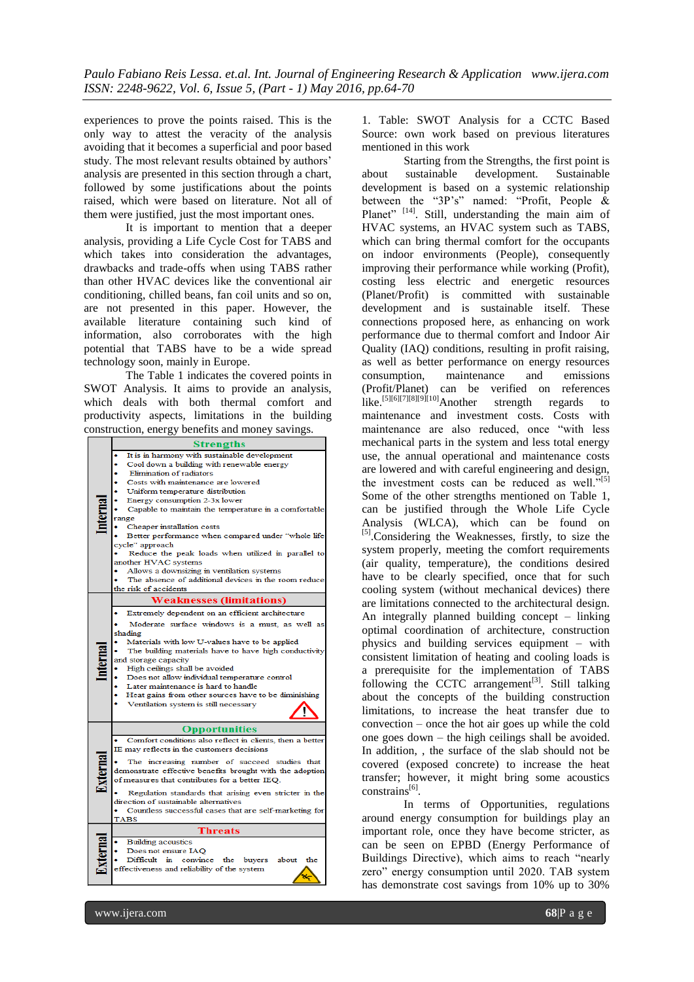experiences to prove the points raised. This is the only way to attest the veracity of the analysis avoiding that it becomes a superficial and poor based study. The most relevant results obtained by authors' analysis are presented in this section through a chart, followed by some justifications about the points raised, which were based on literature. Not all of them were justified, just the most important ones.

It is important to mention that a deeper analysis, providing a Life Cycle Cost for TABS and which takes into consideration the advantages, drawbacks and trade-offs when using TABS rather than other HVAC devices like the conventional air conditioning, chilled beans, fan coil units and so on, are not presented in this paper. However, the available literature containing such kind of information, also corroborates with the high potential that TABS have to be a wide spread technology soon, mainly in Europe.

The Table 1 indicates the covered points in SWOT Analysis. It aims to provide an analysis, which deals with both thermal comfort and productivity aspects, limitations in the building construction, energy benefits and money savings.

|  | <b>Strengths</b>                                                           |
|--|----------------------------------------------------------------------------|
|  | It is in harmony with sustainable development                              |
|  | Cool down a building with renewable energy                                 |
|  | Elimination of radiators                                                   |
|  | Costs with maintenance are lowered                                         |
|  | Uniform temperature distribution                                           |
|  | Energy consumption 2-3x lower                                              |
|  | Capable to maintain the temperature in a comfortable                       |
|  | range                                                                      |
|  | Cheaper installation costs                                                 |
|  | Better performance when compared under "whole life                         |
|  | cycle" approach                                                            |
|  | Reduce the peak loads when utilized in parallel to<br>another HVAC systems |
|  | Allows a downsizing in ventilation systems                                 |
|  | The absence of additional devices in the room reduce                       |
|  | the risk of accidents                                                      |
|  |                                                                            |
|  | <b>Weaknesses (limitations)</b>                                            |
|  | Extremely dependent on an efficient architecture                           |
|  | Moderate surface windows is a must, as well as                             |
|  | shading                                                                    |
|  | Materials with low U-values have to be applied                             |
|  | The building materials have to have high conductivity                      |
|  | and storage capacity                                                       |
|  | High ceilings shall be avoided                                             |
|  | Does not allow individual temperature control                              |
|  | Later maintenance is hard to handle                                        |
|  | Heat gains from other sources have to be diminishing                       |
|  | Ventilation system is still necessary                                      |
|  |                                                                            |
|  | <b>Opportunities</b>                                                       |
|  | Comfort conditions also reflect in clients, then a better                  |
|  | IE may reflects in the customers decisions                                 |
|  | The increasing number of succeed studies that                              |
|  | demonstrate effective benefits brought with the adoption                   |
|  | of measures that contributes for a better IEQ.                             |
|  |                                                                            |
|  | Regulation standards that arising even stricter in the                     |
|  | direction of sustainable alternatives                                      |
|  | Countless successful cases that are self-marketing for                     |
|  | <b>TABS</b>                                                                |
|  | <b>Threats</b>                                                             |
|  | <b>Building acoustics</b>                                                  |
|  | Does not ensure IAO                                                        |
|  | Difficult in convince the buyers<br>about<br>the                           |
|  | effectiveness and reliability of the system                                |
|  |                                                                            |

1. Table: SWOT Analysis for a CCTC Based Source: own work based on previous literatures mentioned in this work

Starting from the Strengths, the first point is about sustainable development. Sustainable development is based on a systemic relationship between the "3P's" named: "Profit, People & Planet" <sup>[14]</sup>. Still, understanding the main aim of HVAC systems, an HVAC system such as TABS, which can bring thermal comfort for the occupants on indoor environments (People), consequently improving their performance while working (Profit), costing less electric and energetic resources (Planet/Profit) is committed with sustainable development and is sustainable itself. These connections proposed here, as enhancing on work performance due to thermal comfort and Indoor Air Quality (IAQ) conditions, resulting in profit raising, as well as better performance on energy resources consumption, maintenance and emissions (Profit/Planet) can be verified on references like.<sup>[5][6][7][8][9][10]</sup>Another strength regards to maintenance and investment costs. Costs with maintenance are also reduced, once "with less mechanical parts in the system and less total energy use, the annual operational and maintenance costs are lowered and with careful engineering and design, the investment costs can be reduced as well."<sup>[5]</sup> Some of the other strengths mentioned on Table 1, can be justified through the Whole Life Cycle Analysis (WLCA), which can be found on [5].Considering the Weaknesses, firstly, to size the system properly, meeting the comfort requirements (air quality, temperature), the conditions desired have to be clearly specified, once that for such cooling system (without mechanical devices) there are limitations connected to the architectural design. An integrally planned building concept – linking optimal coordination of architecture, construction physics and building services equipment – with consistent limitation of heating and cooling loads is a prerequisite for the implementation of TABS following the CCTC arrangement<sup>[3]</sup>. Still talking about the concepts of the building construction limitations, to increase the heat transfer due to convection – once the hot air goes up while the cold one goes down – the high ceilings shall be avoided. In addition, , the surface of the slab should not be covered (exposed concrete) to increase the heat transfer; however, it might bring some acoustics constrains<sup>[6]</sup>.

In terms of Opportunities, regulations around energy consumption for buildings play an important role, once they have become stricter, as can be seen on EPBD (Energy Performance of Buildings Directive), which aims to reach "nearly zero" energy consumption until 2020. TAB system has demonstrate cost savings from 10% up to 30%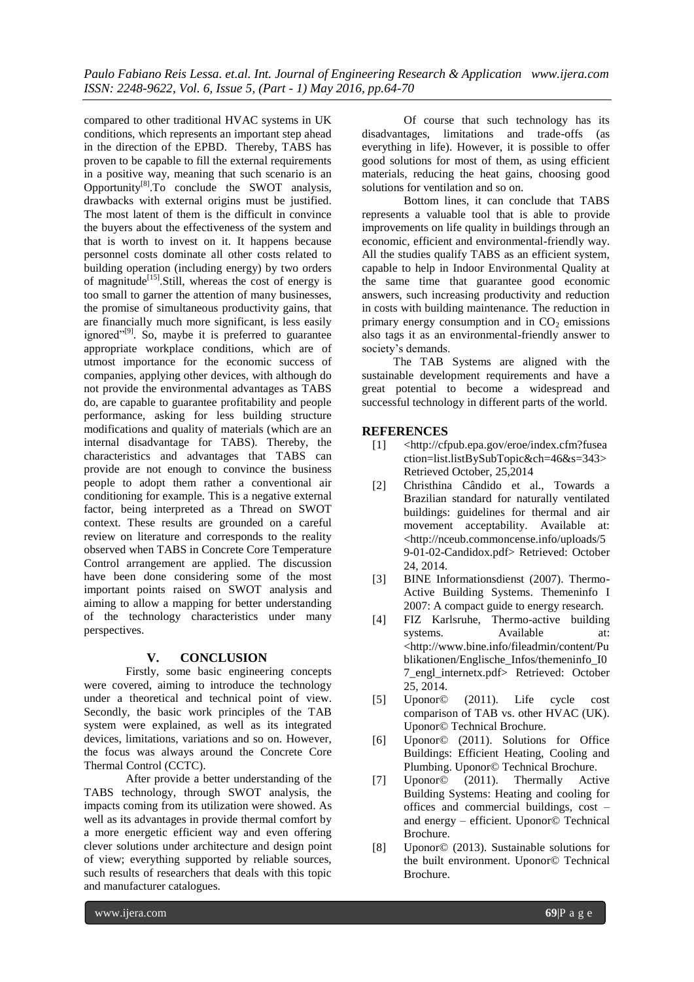compared to other traditional HVAC systems in UK conditions, which represents an important step ahead in the direction of the EPBD. Thereby, TABS has proven to be capable to fill the external requirements in a positive way, meaning that such scenario is an Opportunity $^{[8]}$ . To conclude the SWOT analysis, drawbacks with external origins must be justified. The most latent of them is the difficult in convince the buyers about the effectiveness of the system and that is worth to invest on it. It happens because personnel costs dominate all other costs related to building operation (including energy) by two orders of magnitude<sup>[15]</sup>. Still, whereas the cost of energy is too small to garner the attention of many businesses, the promise of simultaneous productivity gains, that are financially much more significant, is less easily ignored"<sup>[9]</sup>. So, maybe it is preferred to guarantee appropriate workplace conditions, which are of utmost importance for the economic success of companies, applying other devices, with although do not provide the environmental advantages as TABS do, are capable to guarantee profitability and people performance, asking for less building structure modifications and quality of materials (which are an internal disadvantage for TABS). Thereby, the characteristics and advantages that TABS can provide are not enough to convince the business people to adopt them rather a conventional air conditioning for example. This is a negative external factor, being interpreted as a Thread on SWOT context. These results are grounded on a careful review on literature and corresponds to the reality observed when TABS in Concrete Core Temperature Control arrangement are applied. The discussion have been done considering some of the most important points raised on SWOT analysis and aiming to allow a mapping for better understanding of the technology characteristics under many perspectives.

## **V. CONCLUSION**

Firstly, some basic engineering concepts were covered, aiming to introduce the technology under a theoretical and technical point of view. Secondly, the basic work principles of the TAB system were explained, as well as its integrated devices, limitations, variations and so on. However, the focus was always around the Concrete Core Thermal Control (CCTC).

After provide a better understanding of the TABS technology, through SWOT analysis, the impacts coming from its utilization were showed. As well as its advantages in provide thermal comfort by a more energetic efficient way and even offering clever solutions under architecture and design point of view; everything supported by reliable sources, such results of researchers that deals with this topic and manufacturer catalogues.

Of course that such technology has its disadvantages, limitations and trade-offs (as everything in life). However, it is possible to offer good solutions for most of them, as using efficient materials, reducing the heat gains, choosing good solutions for ventilation and so on.

Bottom lines, it can conclude that TABS represents a valuable tool that is able to provide improvements on life quality in buildings through an economic, efficient and environmental-friendly way. All the studies qualify TABS as an efficient system, capable to help in Indoor Environmental Quality at the same time that guarantee good economic answers, such increasing productivity and reduction in costs with building maintenance. The reduction in primary energy consumption and in  $CO<sub>2</sub>$  emissions also tags it as an environmental-friendly answer to society's demands.

The TAB Systems are aligned with the sustainable development requirements and have a great potential to become a widespread and successful technology in different parts of the world.

#### **REFERENCES**

- [1] <http://cfpub.epa.gov/eroe/index.cfm?fusea ction=list.listBySubTopic&ch=46&s=343> Retrieved October, 25,2014
- [2] Christhina Cândido et al., Towards a Brazilian standard for naturally ventilated buildings: guidelines for thermal and air movement acceptability. Available at: <http://nceub.commoncense.info/uploads/5 9-01-02-Candidox.pdf> Retrieved: October 24, 2014.
- [3] BINE Informationsdienst (2007). Thermo-Active Building Systems. Themeninfo I 2007: A compact guide to energy research.
- [4] FIZ Karlsruhe, Thermo-active building systems. Available at: <http://www.bine.info/fileadmin/content/Pu blikationen/Englische\_Infos/themeninfo\_I0 7\_engl\_internetx.pdf> Retrieved: October 25, 2014.
- [5] Uponor© (2011). Life cycle cost comparison of TAB vs. other HVAC (UK). Uponor© Technical Brochure.
- [6] Uponor© (2011). Solutions for Office Buildings: Efficient Heating, Cooling and Plumbing. Uponor© Technical Brochure.
- [7] Uponor© (2011). Thermally Active Building Systems: Heating and cooling for offices and commercial buildings, cost – and energy – efficient. Uponor© Technical Brochure.
- [8] Uponor© (2013). Sustainable solutions for the built environment. Uponor© Technical Brochure.